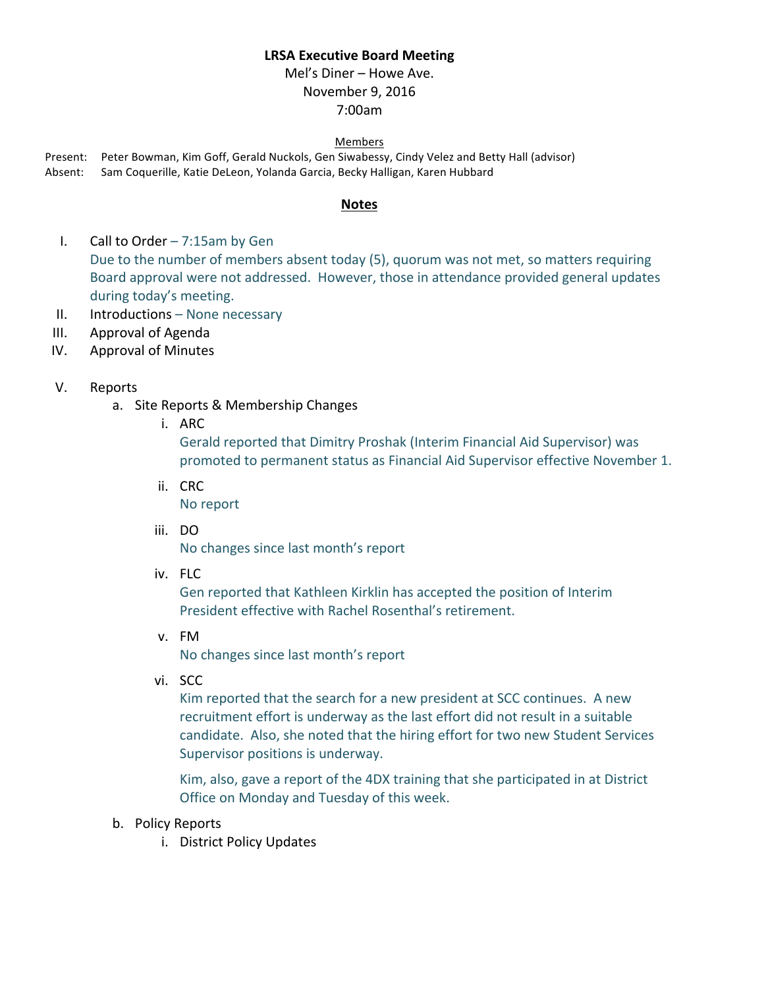## **LRSA Executive Board Meeting**

Mel's Diner – Howe Ave. November 9, 2016 7:00am

#### Members

Present: Peter Bowman, Kim Goff, Gerald Nuckols, Gen Siwabessy, Cindy Velez and Betty Hall (advisor) Absent: Sam Coquerille, Katie DeLeon, Yolanda Garcia, Becky Halligan, Karen Hubbard

### **Notes**

- I. Call to Order  $-7:15$ am by Gen Due to the number of members absent today (5), quorum was not met, so matters requiring Board approval were not addressed. However, those in attendance provided general updates during today's meeting.
- $II.$  Introductions None necessary
- III. Approval of Agenda
- IV. Approval of Minutes

### V. Reports

- a. Site Reports & Membership Changes
	- i. ARC

Gerald reported that Dimitry Proshak (Interim Financial Aid Supervisor) was promoted to permanent status as Financial Aid Supervisor effective November 1.

ii. CRC

No report

iii. DO

No changes since last month's report

iv. FLC

Gen reported that Kathleen Kirklin has accepted the position of Interim President effective with Rachel Rosenthal's retirement.

v. FM

No changes since last month's report

vi. SCC

Kim reported that the search for a new president at SCC continues. A new recruitment effort is underway as the last effort did not result in a suitable candidate. Also, she noted that the hiring effort for two new Student Services Supervisor positions is underway.

Kim, also, gave a report of the 4DX training that she participated in at District Office on Monday and Tuesday of this week.

- b. Policy Reports
	- i. District Policy Updates